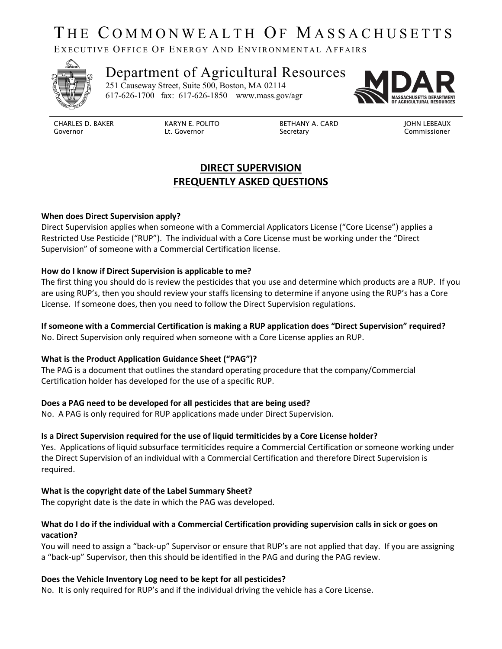# THE COMMONWEALTH OF MASSACHUSETTS

EXECUTIVE OFFICE OF ENERGY AND ENVIRONMENTAL AFFAIRS



## Department of Agricultural Resources 251 Causeway Street, Suite 500, Boston, MA 02114

617-626-1700 fax: 617-626-1850 www.mass.gov/agr



CHARLES D. BAKER Governor

KARYN E. POLITO Lt. Governor

 BETHANY A. CARD Secretary

JOHN LEBEAUX Commissioner

## **DIRECT SUPERVISION FREQUENTLY ASKED QUESTIONS**

#### **When does Direct Supervision apply?**

Direct Supervision applies when someone with a Commercial Applicators License ("Core License") applies a Restricted Use Pesticide ("RUP"). The individual with a Core License must be working under the "Direct Supervision" of someone with a Commercial Certification license.

#### **How do I know if Direct Supervision is applicable to me?**

The first thing you should do is review the pesticides that you use and determine which products are a RUP. If you are using RUP's, then you should review your staffs licensing to determine if anyone using the RUP's has a Core License. If someone does, then you need to follow the Direct Supervision regulations.

### **If someone with a Commercial Certification is making a RUP application does "Direct Supervision" required?**

No. Direct Supervision only required when someone with a Core License applies an RUP.

#### **What is the Product Application Guidance Sheet ("PAG")?**

The PAG is a document that outlines the standard operating procedure that the company/Commercial Certification holder has developed for the use of a specific RUP.

#### **Does a PAG need to be developed for all pesticides that are being used?**

No. A PAG is only required for RUP applications made under Direct Supervision.

#### **Is a Direct Supervision required for the use of liquid termiticides by a Core License holder?**

Yes. Applications of liquid subsurface termiticides require a Commercial Certification or someone working under the Direct Supervision of an individual with a Commercial Certification and therefore Direct Supervision is required.

#### **What is the copyright date of the Label Summary Sheet?**

The copyright date is the date in which the PAG was developed.

#### **What do I do if the individual with a Commercial Certification providing supervision calls in sick or goes on vacation?**

You will need to assign a "back-up" Supervisor or ensure that RUP's are not applied that day. If you are assigning a "back-up" Supervisor, then this should be identified in the PAG and during the PAG review.

#### **Does the Vehicle Inventory Log need to be kept for all pesticides?**

No. It is only required for RUP's and if the individual driving the vehicle has a Core License.